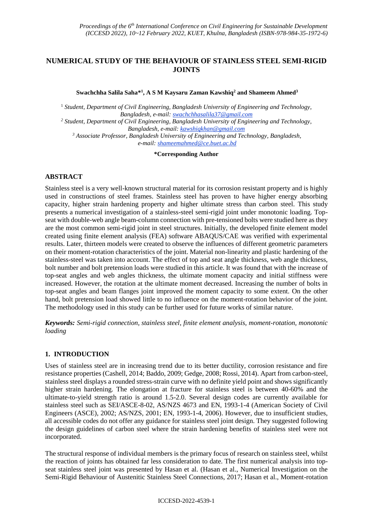# **NUMERICAL STUDY OF THE BEHAVIOUR OF STAINLESS STEEL SEMI-RIGID JOINTS**

**Swachchha Salila Saha\* 1 , A S M Kaysaru Zaman Kawshiq<sup>2</sup> and Shameem Ahmed<sup>3</sup>**

<sup>1</sup> *Student, Department of Civil Engineering, Bangladesh University of Engineering and Technology, Bangladesh, e-mail: swachchhasalila37@gmail.com <sup>2</sup> Student, Department of Civil Engineering, Bangladesh University of Engineering and Technology, Bangladesh, e-mail: kawshiqkhan@gmail.com <sup>3</sup> Associate Professor, Bangladesh University of Engineering and Technology, Bangladesh, e-mail: shameemahmed@ce.buet.ac.bd*

**\*Corresponding Author**

# **ABSTRACT**

Stainless steel is a very well-known structural material for its corrosion resistant property and is highly used in constructions of steel frames. Stainless steel has proven to have higher energy absorbing capacity, higher strain hardening property and higher ultimate stress than carbon steel. This study presents a numerical investigation of a stainless-steel semi-rigid joint under monotonic loading. Topseat with double-web angle beam-column connection with pre-tensioned bolts were studied here as they are the most common semi-rigid joint in steel structures. Initially, the developed finite element model created using finite element analysis (FEA) software ABAQUS/CAE was verified with experimental results. Later, thirteen models were created to observe the influences of different geometric parameters on their moment-rotation characteristics of the joint. Material non-linearity and plastic hardening of the stainless-steel was taken into account. The effect of top and seat angle thickness, web angle thickness, bolt number and bolt pretension loads were studied in this article. It was found that with the increase of top-seat angles and web angles thickness, the ultimate moment capacity and initial stiffness were increased. However, the rotation at the ultimate moment decreased. Increasing the number of bolts in top-seat angles and beam flanges joint improved the moment capacity to some extent. On the other hand, bolt pretension load showed little to no influence on the moment-rotation behavior of the joint. The methodology used in this study can be further used for future works of similar nature.

*Keywords: Semi-rigid connection, stainless steel, finite element analysis, moment-rotation, monotonic loading*

# **1. INTRODUCTION**

Uses of stainless steel are in increasing trend due to its better ductility, corrosion resistance and fire resistance properties (Cashell, 2014; Baddo, 2009; Gedge, 2008; Rossi, 2014). Apart from carbon-steel, stainless steel displays a rounded stress-strain curve with no definite yield point and shows significantly higher strain hardening. The elongation at fracture for stainless steel is between 40-60% and the ultimate-to-yield strength ratio is around 1.5-2.0. Several design codes are currently available for stainless steel such as SEI/ASCE-8-02, AS/NZS 4673 and EN, 1993-1-4 (American Society of Civil Engineers (ASCE), 2002; AS/NZS, 2001; EN, 1993-1-4, 2006). However, due to insufficient studies, all accessible codes do not offer any guidance for stainless steel joint design. They suggested following the design guidelines of carbon steel where the strain hardening benefits of stainless steel were not incorporated.

The structural response of individual members is the primary focus of research on stainless steel, whilst the reaction of joints has obtained far less consideration to date. The first numerical analysis into topseat stainless steel joint was presented by Hasan et al. (Hasan et al., Numerical Investigation on the Semi-Rigid Behaviour of Austenitic Stainless Steel Connections, 2017; Hasan et al., Moment-rotation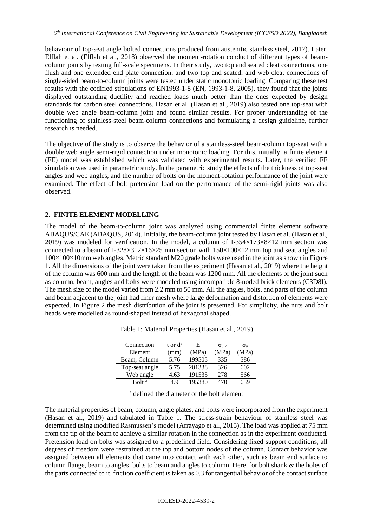behaviour of top-seat angle bolted connections produced from austenitic stainless steel, 2017). Later, Elflah et al. (Elflah et al., 2018) observed the moment-rotation conduct of different types of beamcolumn joints by testing full-scale specimens. In their study, two top and seated cleat connections, one flush and one extended end plate connection, and two top and seated, and web cleat connections of single-sided beam-to-column joints were tested under static monotonic loading. Comparing these test results with the codified stipulations of EN1993-1-8 (EN, 1993-1-8, 2005), they found that the joints displayed outstanding ductility and reached loads much better than the ones expected by design standards for carbon steel connections. Hasan et al. (Hasan et al., 2019) also tested one top-seat with double web angle beam-column joint and found similar results. For proper understanding of the functioning of stainless-steel beam-column connections and formulating a design guideline, further research is needed.

The objective of the study is to observe the behavior of a stainless-steel beam-column top-seat with a double web angle semi-rigid connection under monotonic loading. For this, initially, a finite element (FE) model was established which was validated with experimental results. Later, the verified FE simulation was used in parametric study. In the parametric study the effects of the thickness of top-seat angles and web angles, and the number of bolts on the moment-rotation performance of the joint were examined. The effect of bolt pretension load on the performance of the semi-rigid joints was also observed.

# **2. FINITE ELEMENT MODELLING**

The model of the beam-to-column joint was analyzed using commercial finite element software ABAQUS/CAE (ABAQUS, 2014). Initially, the beam-column joint tested by Hasan et al. (Hasan et al., 2019) was modeled for verification. In the model, a column of I-354×173×8×12 mm section was connected to a beam of I-328×312×16×25 mm section with  $150\times100\times12$  mm top and seat angles and 100×100×10mm web angles. Metric standard M20 grade bolts were used in the joint as shown in Figure 1. All the dimensions of the joint were taken from the experiment (Hasan et al., 2019) where the height of the column was 600 mm and the length of the beam was 1200 mm. All the elements of the joint such as column, beam, angles and bolts were modeled using incompatible 8-noded brick elements (C3D8I). The mesh size of the model varied from 2.2 mm to 50 mm. All the angles, bolts, and parts of the column and beam adjacent to the joint had finer mesh where large deformation and distortion of elements were expected. In Figure 2 the mesh distribution of the joint is presented. For simplicity, the nuts and bolt heads were modelled as round-shaped instead of hexagonal shaped.

| Connection        | t or d <sup>a</sup> | E      | $\sigma_0$ 2 | $\sigma_{\rm n}$ |
|-------------------|---------------------|--------|--------------|------------------|
| Element           | (mm)                | (MPa)  | (MPa)        | (MPa)            |
| Beam, Column      | 5.76                | 199505 | 335          | 586              |
| Top-seat angle    | 5.75                | 201338 | 326          | 602              |
| Web angle         | 4.63                | 191535 | 278          | 566              |
| Bolt <sup>a</sup> | 4 Q                 | 195380 | 70           | 539              |

Table 1: Material Properties (Hasan et al., 2019)

<sup>a</sup> defined the diameter of the bolt element

The material properties of beam, column, angle plates, and bolts were incorporated from the experiment (Hasan et al., 2019) and tabulated in Table 1. The stress-strain behaviour of stainless steel was determined using modified Rasmussen's model (Arrayago et al., 2015). The load was applied at 75 mm from the tip of the beam to achieve a similar rotation in the connection as in the experiment conducted. Pretension load on bolts was assigned to a predefined field. Considering fixed support conditions, all degrees of freedom were restrained at the top and bottom nodes of the column. Contact behavior was assigned between all elements that came into contact with each other, such as beam end surface to column flange, beam to angles, bolts to beam and angles to column. Here, for bolt shank & the holes of the parts connected to it, friction coefficient is taken as 0.3 for tangential behavior of the contact surface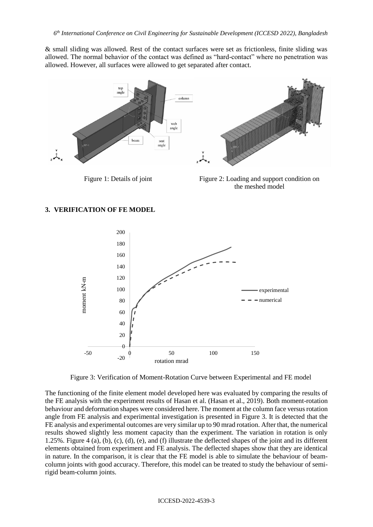& small sliding was allowed. Rest of the contact surfaces were set as frictionless, finite sliding was allowed. The normal behavior of the contact was defined as "hard-contact" where no penetration was allowed. However, all surfaces were allowed to get separated after contact.



Figure 1: Details of joint Figure 2: Loading and support condition on the meshed model

# **3. VERIFICATION OF FE MODEL**



Figure 3: Verification of Moment-Rotation Curve between Experimental and FE model

The functioning of the finite element model developed here was evaluated by comparing the results of the FE analysis with the experiment results of Hasan et al. (Hasan et al., 2019). Both moment-rotation behaviour and deformation shapes were considered here. The moment at the column face versus rotation angle from FE analysis and experimental investigation is presented in Figure 3. It is detected that the FE analysis and experimental outcomes are very similar up to 90 mrad rotation. After that, the numerical results showed slightly less moment capacity than the experiment. The variation in rotation is only 1.25%. Figure 4 (a), (b), (c), (d), (e), and (f) illustrate the deflected shapes of the joint and its different elements obtained from experiment and FE analysis. The deflected shapes show that they are identical in nature. In the comparison, it is clear that the FE model is able to simulate the behaviour of beamcolumn joints with good accuracy. Therefore, this model can be treated to study the behaviour of semirigid beam-column joints.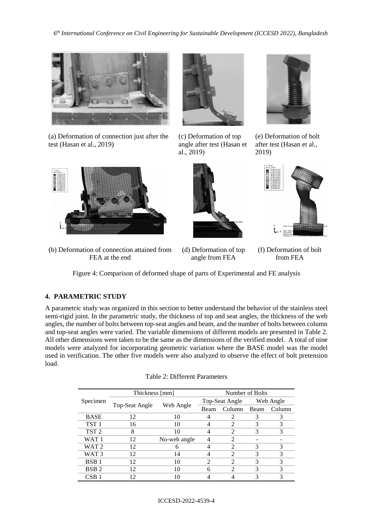

(a) Deformation of connection just after the test (Hasan et al., 2019)



(c) Deformation of top angle after test (Hasan et al., 2019)



(e) Deformation of bolt after test (Hasan et al., 2019)



(b) Deformation of connection attained from FEA at the end





(d) Deformation of top angle from FEA

(f) Deformation of bolt from FEA

Figure 4: Comparison of deformed shape of parts of Experimental and FE analysis

# **4. PARAMETRIC STUDY**

A parametric study was organized in this section to better understand the behavior of the stainless steel semi-rigid joint. In the parametric study, the thickness of top and seat angles, the thickness of the web angles, the number of bolts between top-seat angles and beam, and the number of bolts between column and top-seat angles were varied. The variable dimensions of different models are presented in Table 2. All other dimensions were taken to be the same as the dimensions of the verified model. A total of nine models were analyzed for incorporating geometric variation where the BASE model was the model used in verification. The other five models were also analyzed to observe the effect of bolt pretension load.

|                  | Thickness [mm] |              | Number of Bolts |                             |           |        |
|------------------|----------------|--------------|-----------------|-----------------------------|-----------|--------|
| Specimen         |                |              | Top-Seat Angle  |                             | Web Angle |        |
|                  | Top-Seat Angle | Web Angle    |                 | Column                      | Beam      | Column |
| <b>BASE</b>      | 12             | 10           |                 | 2                           | 3         | 3      |
| TST <sub>1</sub> | 16             | 10           |                 | 2                           | 3         | 3      |
| TST <sub>2</sub> | 8              | 10           |                 | 2                           | 3         | 3      |
| WAT <sub>1</sub> | 12             | No-web angle |                 | $\mathfrak{D}$              |           |        |
| WAT <sub>2</sub> | 12             | 6            |                 | $\mathcal{D}_{\mathcal{L}}$ | 3         | 3      |
| WAT <sub>3</sub> | 12             | 14           |                 | $\mathfrak{D}$              | 3         | 3      |
| BSB <sub>1</sub> | 12             | 10           | 2               | 2                           | 3         | 3      |
| BSB <sub>2</sub> | 12             | 10           | 6               | 2                           | 3         | 3      |
| CSB 1            | 12             | 10           |                 |                             | 3         | 3      |

| Table 2: Different Parameters |
|-------------------------------|
|-------------------------------|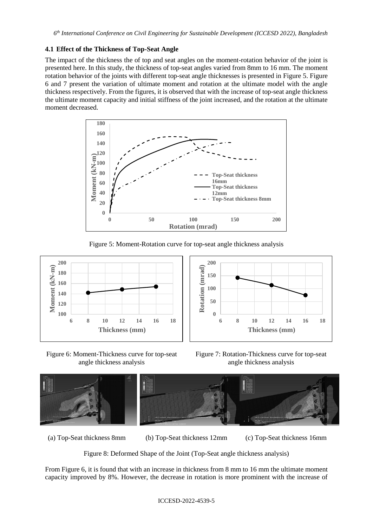# **4.1 Effect of the Thickness of Top-Seat Angle**

The impact of the thickness the of top and seat angles on the moment-rotation behavior of the joint is presented here. In this study, the thickness of top-seat angles varied from 8mm to 16 mm. The moment rotation behavior of the joints with different top-seat angle thicknesses is presented in Figure 5. Figure 6 and 7 present the variation of ultimate moment and rotation at the ultimate model with the angle thickness respectively. From the figures, it is observed that with the increase of top-seat angle thickness the ultimate moment capacity and initial stiffness of the joint increased, and the rotation at the ultimate moment decreased.



Figure 5: Moment-Rotation curve for top-seat angle thickness analysis





Figure 6: Moment-Thickness curve for top-seat angle thickness analysis

Figure 7: Rotation-Thickness curve for top-seat angle thickness analysis



(a) Top-Seat thickness 8mm (b) Top-Seat thickness 12mm (c) Top-Seat thickness 16mm

Figure 8: Deformed Shape of the Joint (Top-Seat angle thickness analysis)

From Figure 6, it is found that with an increase in thickness from 8 mm to 16 mm the ultimate moment capacity improved by 8%. However, the decrease in rotation is more prominent with the increase of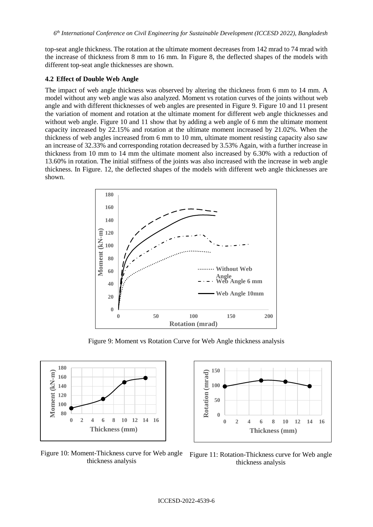top-seat angle thickness. The rotation at the ultimate moment decreases from 142 mrad to 74 mrad with the increase of thickness from 8 mm to 16 mm. In Figure 8, the deflected shapes of the models with different top-seat angle thicknesses are shown.

### **4.2 Effect of Double Web Angle**

The impact of web angle thickness was observed by altering the thickness from 6 mm to 14 mm. A model without any web angle was also analyzed. Moment vs rotation curves of the joints without web angle and with different thicknesses of web angles are presented in Figure 9. Figure 10 and 11 present the variation of moment and rotation at the ultimate moment for different web angle thicknesses and without web angle. Figure 10 and 11 show that by adding a web angle of 6 mm the ultimate moment capacity increased by 22.15% and rotation at the ultimate moment increased by 21.02%. When the thickness of web angles increased from 6 mm to 10 mm, ultimate moment resisting capacity also saw an increase of 32.33% and corresponding rotation decreased by 3.53% Again, with a further increase in thickness from 10 mm to 14 mm the ultimate moment also increased by 6.30% with a reduction of 13.60% in rotation. The initial stiffness of the joints was also increased with the increase in web angle thickness. In Figure. 12, the deflected shapes of the models with different web angle thicknesses are shown.



Figure 9: Moment vs Rotation Curve for Web Angle thickness analysis



**150** Rotation (mrad) **Rotation (mrad) 100 50 0 0 2 4 6 8 10 12 14 16 Thickness (mm)** 

thickness analysis

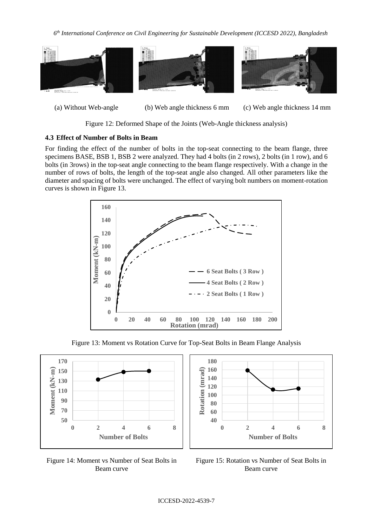*6 th International Conference on Civil Engineering for Sustainable Development (ICCESD 2022), Bangladesh*



(a) Without Web-angle (b) Web angle thickness 6 mm (c) Web angle thickness 14 mm

Figure 12: Deformed Shape of the Joints (Web-Angle thickness analysis)

# **4.3 Effect of Number of Bolts in Beam**

For finding the effect of the number of bolts in the top-seat connecting to the beam flange, three specimens BASE, BSB 1, BSB 2 were analyzed. They had 4 bolts (in 2 rows), 2 bolts (in 1 row), and 6 bolts (in 3rows) in the top-seat angle connecting to the beam flange respectively. With a change in the number of rows of bolts, the length of the top-seat angle also changed. All other parameters like the diameter and spacing of bolts were unchanged. The effect of varying bolt numbers on moment-rotation curves is shown in Figure 13.



Figure 13: Moment vs Rotation Curve for Top-Seat Bolts in Beam Flange Analysis







Figure 15: Rotation vs Number of Seat Bolts in Beam curve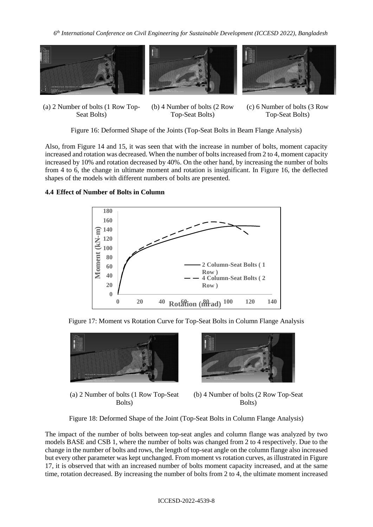

(a) 2 Number of bolts (1 Row Top-Seat Bolts)





(b) 4 Number of bolts (2 Row Top-Seat Bolts)

(c) 6 Number of bolts (3 Row Top-Seat Bolts)

Figure 16: Deformed Shape of the Joints (Top-Seat Bolts in Beam Flange Analysis)

Also, from Figure 14 and 15, it was seen that with the increase in number of bolts, moment capacity increased and rotation was decreased. When the number of bolts increased from 2 to 4, moment capacity increased by 10% and rotation decreased by 40%. On the other hand, by increasing the number of bolts from 4 to 6, the change in ultimate moment and rotation is insignificant. In Figure 16, the deflected shapes of the models with different numbers of bolts are presented.

### **4.4 Effect of Number of Bolts in Column**



Figure 17: Moment vs Rotation Curve for Top-Seat Bolts in Column Flange Analysis



(a) 2 Number of bolts (1 Row Top-Seat Bolts)



(b) 4 Number of bolts (2 Row Top-Seat Bolts)

Figure 18: Deformed Shape of the Joint (Top-Seat Bolts in Column Flange Analysis)

The impact of the number of bolts between top-seat angles and column flange was analyzed by two models BASE and CSB 1, where the number of bolts was changed from 2 to 4 respectively. Due to the change in the number of bolts and rows, the length of top-seat angle on the column flange also increased but every other parameter was kept unchanged. From moment vs rotation curves, as illustrated in Figure 17, it is observed that with an increased number of bolts moment capacity increased, and at the same time, rotation decreased. By increasing the number of bolts from 2 to 4, the ultimate moment increased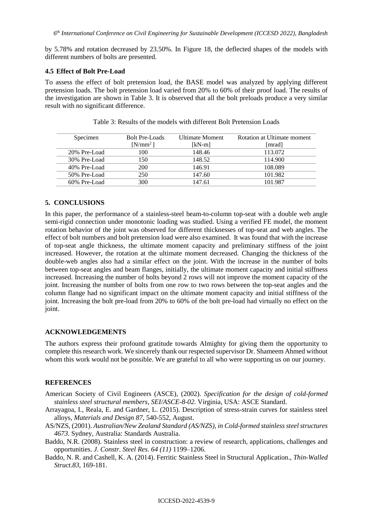by 5.78% and rotation decreased by 23.50%. In Figure 18, the deflected shapes of the models with different numbers of bolts are presented.

### **4.5 Effect of Bolt Pre-Load**

To assess the effect of bolt pretension load, the BASE model was analyzed by applying different pretension loads. The bolt pretension load varied from 20% to 60% of their proof load. The results of the investigation are shown in Table 3. It is observed that all the bolt preloads produce a very similar result with no significant difference.

| Specimen     | <b>Bolt Pre-Loads</b> | <b>Ultimate Moment</b> | Rotation at Ultimate moment |
|--------------|-----------------------|------------------------|-----------------------------|
|              | $[N/mm^2]$            | [kN-m]                 | [mrad]                      |
| 20% Pre-Load | 100                   | 148.46                 | 113.072                     |
| 30% Pre-Load | 150                   | 148.52                 | 114.900                     |
| 40% Pre-Load | 200                   | 146.91                 | 108.089                     |
| 50% Pre-Load | 250                   | 147.60                 | 101.982                     |
| 60% Pre-Load | 300                   | 147.61                 | 101.987                     |

Table 3: Results of the models with different Bolt Pretension Loads

### **5. CONCLUSIONS**

In this paper, the performance of a stainless-steel beam-to-column top-seat with a double web angle semi-rigid connection under monotonic loading was studied. Using a verified FE model, the moment rotation behavior of the joint was observed for different thicknesses of top-seat and web angles. The effect of bolt numbers and bolt pretension load were also examined. It was found that with the increase of top-seat angle thickness, the ultimate moment capacity and preliminary stiffness of the joint increased. However, the rotation at the ultimate moment decreased. Changing the thickness of the double-web angles also had a similar effect on the joint. With the increase in the number of bolts between top-seat angles and beam flanges, initially, the ultimate moment capacity and initial stiffness increased. Increasing the number of bolts beyond 2 rows will not improve the moment capacity of the joint. Increasing the number of bolts from one row to two rows between the top-seat angles and the column flange had no significant impact on the ultimate moment capacity and initial stiffness of the joint. Increasing the bolt pre-load from 20% to 60% of the bolt pre-load had virtually no effect on the joint.

#### **ACKNOWLEDGEMENTS**

The authors express their profound gratitude towards Almighty for giving them the opportunity to complete this research work. We sincerely thank our respected supervisor Dr. Shameem Ahmed without whom this work would not be possible. We are grateful to all who were supporting us on our journey.

#### **REFERENCES**

- American Society of Civil Engineers (ASCE), (2002). *Specification for the design of cold-formed stainless steel structural members, SEI/ASCE-8-02.* Virginia, USA: ASCE Standard.
- Arrayagoa, I., Reala, E. and Gardner, L. (2015). Description of stress-strain curves for stainless steel alloys, *Materials and Design 87*, 540-552, August.
- AS/NZS, (2001). *Australian/New Zealand Standard (AS/NZS), in Cold-formed stainless steel structures 4673*. Sydney, Australia: Standards Australia.
- Baddo, N.R. (2008). Stainless steel in construction: a review of research, applications, challenges and opportunities. *J. Constr. Steel Res. 64 (11)* 1199–1206.
- Baddo, N. R. and Cashell, K. A. (2014). Ferritic Stainless Steel in Structural Application., *Thin-Walled Struct.83,* 169-181.